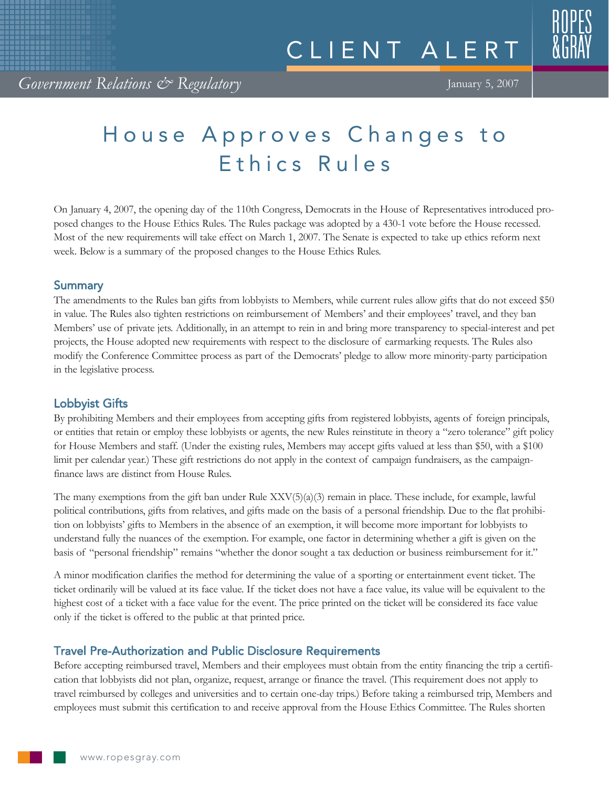# House Approves Changes to Ethics Rules

On January 4, 2007, the opening day of the 110th Congress, Democrats in the House of Representatives introduced proposed changes to the House Ethics Rules. The Rules package was adopted by a 430-1 vote before the House recessed. Most of the new requirements will take effect on March 1, 2007. The Senate is expected to take up ethics reform next week. Below is a summary of the proposed changes to the House Ethics Rules.

### **Summary**

The amendments to the Rules ban gifts from lobbyists to Members, while current rules allow gifts that do not exceed \$50 in value. The Rules also tighten restrictions on reimbursement of Members' and their employees' travel, and they ban Members' use of private jets. Additionally, in an attempt to rein in and bring more transparency to special-interest and pet projects, the House adopted new requirements with respect to the disclosure of earmarking requests. The Rules also modify the Conference Committee process as part of the Democrats' pledge to allow more minority-party participation in the legislative process.

## Lobbyist Gifts

By prohibiting Members and their employees from accepting gifts from registered lobbyists, agents of foreign principals, or entities that retain or employ these lobbyists or agents, the new Rules reinstitute in theory a "zero tolerance" gift policy for House Members and staff. (Under the existing rules, Members may accept gifts valued at less than \$50, with a \$100 limit per calendar year.) These gift restrictions do not apply in the context of campaign fundraisers, as the campaignfinance laws are distinct from House Rules.

The many exemptions from the gift ban under Rule XXV(5)(a)(3) remain in place. These include, for example, lawful political contributions, gifts from relatives, and gifts made on the basis of a personal friendship. Due to the flat prohibition on lobbyists' gifts to Members in the absence of an exemption, it will become more important for lobbyists to understand fully the nuances of the exemption. For example, one factor in determining whether a gift is given on the basis of "personal friendship" remains "whether the donor sought a tax deduction or business reimbursement for it."

A minor modification clarifies the method for determining the value of a sporting or entertainment event ticket. The ticket ordinarily will be valued at its face value. If the ticket does not have a face value, its value will be equivalent to the highest cost of a ticket with a face value for the event. The price printed on the ticket will be considered its face value only if the ticket is offered to the public at that printed price.

## Travel Pre-Authorization and Public Disclosure Requirements

Before accepting reimbursed travel, Members and their employees must obtain from the entity financing the trip a certification that lobbyists did not plan, organize, request, arrange or finance the travel. (This requirement does not apply to travel reimbursed by colleges and universities and to certain one-day trips.) Before taking a reimbursed trip, Members and employees must submit this certification to and receive approval from the House Ethics Committee. The Rules shorten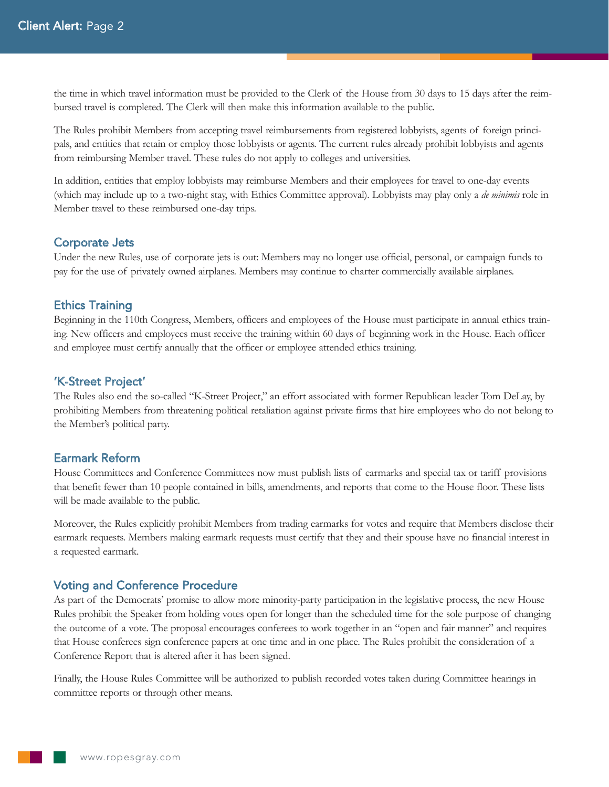the time in which travel information must be provided to the Clerk of the House from 30 days to 15 days after the reimbursed travel is completed. The Clerk will then make this information available to the public.

The Rules prohibit Members from accepting travel reimbursements from registered lobbyists, agents of foreign principals, and entities that retain or employ those lobbyists or agents. The current rules already prohibit lobbyists and agents from reimbursing Member travel. These rules do not apply to colleges and universities.

In addition, entities that employ lobbyists may reimburse Members and their employees for travel to one-day events (which may include up to a two-night stay, with Ethics Committee approval). Lobbyists may play only a *de minimis* role in Member travel to these reimbursed one-day trips.

#### Corporate Jets

Under the new Rules, use of corporate jets is out: Members may no longer use official, personal, or campaign funds to pay for the use of privately owned airplanes. Members may continue to charter commercially available airplanes.

#### Ethics Training

Beginning in the 110th Congress, Members, officers and employees of the House must participate in annual ethics training. New officers and employees must receive the training within 60 days of beginning work in the House. Each officer and employee must certify annually that the officer or employee attended ethics training.

#### 'K-Street Project'

The Rules also end the so-called "K-Street Project," an effort associated with former Republican leader Tom DeLay, by prohibiting Members from threatening political retaliation against private firms that hire employees who do not belong to the Member's political party.

#### Earmark Reform

House Committees and Conference Committees now must publish lists of earmarks and special tax or tariff provisions that benefit fewer than 10 people contained in bills, amendments, and reports that come to the House floor. These lists will be made available to the public.

Moreover, the Rules explicitly prohibit Members from trading earmarks for votes and require that Members disclose their earmark requests. Members making earmark requests must certify that they and their spouse have no financial interest in a requested earmark.

#### Voting and Conference Procedure

As part of the Democrats' promise to allow more minority-party participation in the legislative process, the new House Rules prohibit the Speaker from holding votes open for longer than the scheduled time for the sole purpose of changing the outcome of a vote. The proposal encourages conferees to work together in an "open and fair manner" and requires that House conferees sign conference papers at one time and in one place. The Rules prohibit the consideration of a Conference Report that is altered after it has been signed.

Finally, the House Rules Committee will be authorized to publish recorded votes taken during Committee hearings in committee reports or through other means.